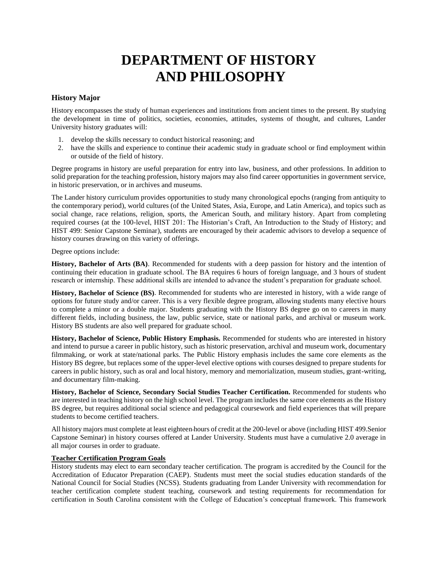# **DEPARTMENT OF HISTORY AND PHILOSOPHY**

## **History Major**

History encompasses the study of human experiences and institutions from ancient times to the present. By studying the development in time of politics, societies, economies, attitudes, systems of thought, and cultures, Lander University history graduates will:

- 1. develop the skills necessary to conduct historical reasoning; and
- 2. have the skills and experience to continue their academic study in graduate school or find employment within or outside of the field of history.

Degree programs in history are useful preparation for entry into law, business, and other professions. In addition to solid preparation for the teaching profession, history majors may also find career opportunities in government service, in historic preservation, or in archives and museums.

The Lander history curriculum provides opportunities to study many chronological epochs (ranging from antiquity to the contemporary period), world cultures (of the United States, Asia, Europe, and Latin America), and topics such as social change, race relations, religion, sports, the American South, and military history. Apart from completing required courses (at the 100-level, HIST 201: The Historian's Craft, An Introduction to the Study of History; and HIST 499: Senior Capstone Seminar), students are encouraged by their academic advisors to develop a sequence of history courses drawing on this variety of offerings.

Degree options include:

**History, Bachelor of Arts (BA)**. Recommended for students with a deep passion for history and the intention of continuing their education in graduate school. The BA requires 6 hours of foreign language, and 3 hours of student research or internship. These additional skills are intended to advance the student's preparation for graduate school.

**History, Bachelor of Science (BS)**. Recommended for students who are interested in history, with a wide range of options for future study and/or career. This is a very flexible degree program, allowing students many elective hours to complete a minor or a double major. Students graduating with the History BS degree go on to careers in many different fields, including business, the law, public service, state or national parks, and archival or museum work. History BS students are also well prepared for graduate school.

**History, Bachelor of Science, Public History Emphasis.** Recommended for students who are interested in history and intend to pursue a career in public history, such as historic preservation, archival and museum work, documentary filmmaking, or work at state/national parks. The Public History emphasis includes the same core elements as the History BS degree, but replaces some of the upper-level elective options with courses designed to prepare students for careers in public history, such as oral and local history, memory and memorialization, museum studies, grant-writing, and documentary film-making.

**History, Bachelor of Science, Secondary Social Studies Teacher Certification.** Recommended for students who are interested in teaching history on the high school level. The program includes the same core elements as the History BS degree, but requires additional social science and pedagogical coursework and field experiences that will prepare students to become certified teachers.

All history majors must complete at least eighteen hours of credit at the 200-level or above (including HIST 499.Senior Capstone Seminar) in history courses offered at Lander University. Students must have a cumulative 2.0 average in all major courses in order to graduate.

## **Teacher Certification Program Goals**

History students may elect to earn secondary teacher certification. The program is accredited by the Council for the Accreditation of Educator Preparation (CAEP). Students must meet the social studies education standards of the National Council for Social Studies (NCSS). Students graduating from Lander University with recommendation for teacher certification complete student teaching, coursework and testing requirements for recommendation for certification in South Carolina consistent with the College of Education's conceptual framework. This framework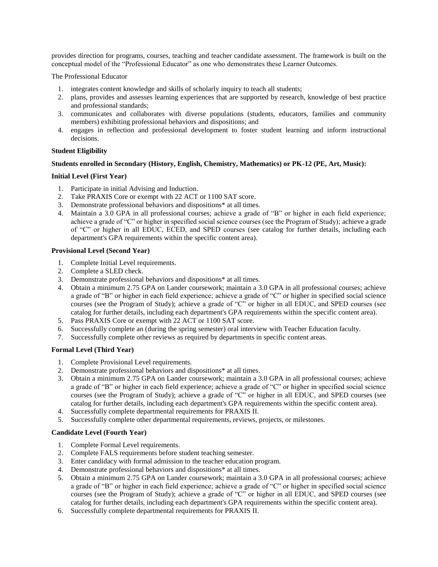provides direction for programs, courses, teaching and teacher candidate assessment. The framework is built on the conceptual model of the "Professional Educator" as one who demonstrates these Learner Outcomes.

The Professional Educator

- 1. integrates content knowledge and skills of scholarly inquiry to teach all students;
- 2. plans, provides and assesses learning experiences that are supported by research, knowledge of best practice and professional standards;
- 3. communicates and collaborates with diverse populations (students, educators, families and community members) exhibiting professional behaviors and dispositions; and
- 4. engages in reflection and professional development to foster student learning and inform instructional decisions.

## **Student Eligibility**

## **Students enrolled in Secondary (History, English, Chemistry, Mathematics) or PK-12 (PE, Art, Music):**

## **Initial Level (First Year)**

- 1. Participate in initial Advising and Induction.
- 2. Take PRAXIS Core or exempt with 22 ACT or 1100 SAT score.
- 3. Demonstrate professional behaviors and dispositions\* at all times.
- 4. Maintain a 3.0 GPA in all professional courses; achieve a grade of "B" or higher in each field experience; achieve a grade of "C" or higher in specified social science courses (see the Program of Study); achieve a grade of "C" or higher in all EDUC, ECED, and SPED courses (see catalog for further details, including each department's GPA requirements within the specific content area).

### **Provisional Level (Second Year)**

- 1. Complete Initial Level requirements.
- 2. Complete a SLED check.
- 3. Demonstrate professional behaviors and dispositions\* at all times.
- 4. Obtain a minimum 2.75 GPA on Lander coursework; maintain a 3.0 GPA in all professional courses; achieve a grade of "B" or higher in each field experience; achieve a grade of "C" or higher in specified social science courses (see the Program of Study); achieve a grade of "C" or higher in all EDUC, and SPED courses (see catalog for further details, including each department's GPA requirements within the specific content area).
- 5. Pass PRAXIS Core or exempt with 22 ACT or 1100 SAT score.
- 6. Successfully complete an (during the spring semester) oral interview with Teacher Education faculty.
- 7. Successfully complete other reviews as required by departments in specific content areas.

#### **Formal Level (Third Year)**

- 1. Complete Provisional Level requirements.
- 2. Demonstrate professional behaviors and dispositions\* at all times.
- 3. Obtain a minimum 2.75 GPA on Lander coursework; maintain a 3.0 GPA in all professional courses; achieve a grade of "B" or higher in each field experience; achieve a grade of "C" or higher in specified social science courses (see the Program of Study); achieve a grade of "C" or higher in all EDUC, and SPED courses (see catalog for further details, including each department's GPA requirements within the specific content area).
- 4. Successfully complete departmental requirements for PRAXIS II.
- 5. Successfully complete other departmental requirements, reviews, projects, or milestones.

#### **Candidate Level (Fourth Year)**

- 1. Complete Formal Level requirements.
- 2. Complete FALS requirements before student teaching semester.
- 3. Enter candidacy with formal admission to the teacher education program.
- 4. Demonstrate professional behaviors and dispositions\* at all times.
- 5. Obtain a minimum 2.75 GPA on Lander coursework; maintain a 3.0 GPA in all professional courses; achieve a grade of "B" or higher in each field experience; achieve a grade of "C" or higher in specified social science courses (see the Program of Study); achieve a grade of "C" or higher in all EDUC, and SPED courses (see catalog for further details, including each department's GPA requirements within the specific content area).
- 6. Successfully complete departmental requirements for PRAXIS II.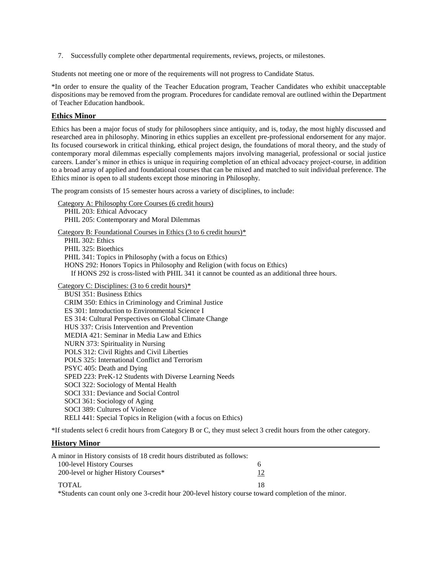7. Successfully complete other departmental requirements, reviews, projects, or milestones.

Students not meeting one or more of the requirements will not progress to Candidate Status.

\*In order to ensure the quality of the Teacher Education program, Teacher Candidates who exhibit unacceptable dispositions may be removed from the program. Procedures for candidate removal are outlined within the Department of Teacher Education handbook.

## **Ethics Minor**

Ethics has been a major focus of study for philosophers since antiquity, and is, today, the most highly discussed and researched area in philosophy. Minoring in ethics supplies an excellent pre-professional endorsement for any major. Its focused coursework in critical thinking, ethical project design, the foundations of moral theory, and the study of contemporary moral dilemmas especially complements majors involving managerial, professional or social justice careers. Lander's minor in ethics is unique in requiring completion of an ethical advocacy project-course, in addition to a broad array of applied and foundational courses that can be mixed and matched to suit individual preference. The Ethics minor is open to all students except those minoring in Philosophy.

The program consists of 15 semester hours across a variety of disciplines, to include:

Category A: Philosophy Core Courses (6 credit hours) PHIL 203: Ethical Advocacy PHIL 205: Contemporary and Moral Dilemmas Category B: Foundational Courses in Ethics (3 to 6 credit hours)\* PHIL 302: Ethics PHIL 325: Bioethics PHIL 341: Topics in Philosophy (with a focus on Ethics) HONS 292: Honors Topics in Philosophy and Religion (with focus on Ethics) If HONS 292 is cross-listed with PHIL 341 it cannot be counted as an additional three hours. Category C: Disciplines: (3 to 6 credit hours)\* BUSI 351: Business Ethics CRIM 350: Ethics in Criminology and Criminal Justice ES 301: Introduction to Environmental Science I ES 314: Cultural Perspectives on Global Climate Change HUS 337: Crisis Intervention and Prevention MEDIA 421: Seminar in Media Law and Ethics NURN 373: Spirituality in Nursing POLS 312: Civil Rights and Civil Liberties POLS 325: International Conflict and Terrorism PSYC 405: Death and Dying SPED 223: PreK-12 Students with Diverse Learning Needs SOCI 322: Sociology of Mental Health SOCI 331: Deviance and Social Control SOCI 361: Sociology of Aging SOCI 389: Cultures of Violence RELI 441: Special Topics in Religion (with a focus on Ethics)

\*If students select 6 credit hours from Category B or C, they must select 3 credit hours from the other category.

#### **History Minor**

| A minor in History consists of 18 credit hours distributed as follows:                          |    |
|-------------------------------------------------------------------------------------------------|----|
| 100-level History Courses                                                                       | n  |
| 200-level or higher History Courses*                                                            | 12 |
| <b>TOTAL</b>                                                                                    | 18 |
| $*$ Students can count only ang $3$ credit bour $200$ layed bistory course toward completion of |    |

\*Students can count only one 3-credit hour 200-level history course toward completion of the minor.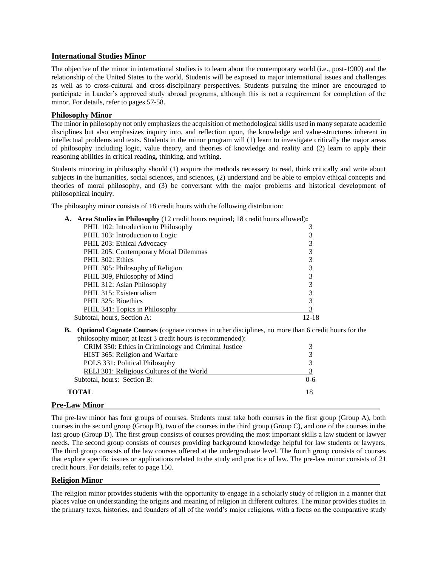## **International Studies Minor**

The objective of the minor in international studies is to learn about the contemporary world (i.e., post-1900) and the relationship of the United States to the world. Students will be exposed to major international issues and challenges as well as to cross-cultural and cross-disciplinary perspectives. Students pursuing the minor are encouraged to participate in Lander's approved study abroad programs, although this is not a requirement for completion of the minor. For details, refer to pages 57-58.

#### **Philosophy Minor**

The minor in philosophy not only emphasizes the acquisition of methodological skills used in many separate academic disciplines but also emphasizes inquiry into, and reflection upon, the knowledge and value-structures inherent in intellectual problems and texts. Students in the minor program will (1) learn to investigate critically the major areas of philosophy including logic, value theory, and theories of knowledge and reality and (2) learn to apply their reasoning abilities in critical reading, thinking, and writing.

Students minoring in philosophy should (1) acquire the methods necessary to read, think critically and write about subjects in the humanities, social sciences, and sciences, (2) understand and be able to employ ethical concepts and theories of moral philosophy, and (3) be conversant with the major problems and historical development of philosophical inquiry.

The philosophy minor consists of 18 credit hours with the following distribution:

| A. Area Studies in Philosophy (12 credit hours required; 18 credit hours allowed): |       |  |
|------------------------------------------------------------------------------------|-------|--|
| PHIL 102: Introduction to Philosophy                                               |       |  |
| PHIL 103: Introduction to Logic                                                    |       |  |
| PHIL 203: Ethical Advocacy                                                         |       |  |
| PHIL 205: Contemporary Moral Dilemmas                                              |       |  |
| PHIL 302: Ethics                                                                   |       |  |
| PHIL 305: Philosophy of Religion                                                   |       |  |
| PHIL 309, Philosophy of Mind                                                       |       |  |
| PHIL 312: Asian Philosophy                                                         |       |  |
| PHIL 315: Existentialism                                                           |       |  |
| PHIL 325: Bioethics                                                                |       |  |
| PHIL 341: Topics in Philosophy                                                     |       |  |
| Subtotal, hours, Section A:                                                        | 12-18 |  |
|                                                                                    |       |  |

**B. Optional Cognate Courses** (cognate courses in other disciplines, no more than 6 credit hours for the philosophy minor; at least 3 credit hours is recommended):

| $p$ and $p$ and $q$ , at reast $p$ erectic hours is recommended. |         |
|------------------------------------------------------------------|---------|
| CRIM 350: Ethics in Criminology and Criminal Justice             |         |
| HIST 365: Religion and Warfare                                   |         |
| POLS 331: Political Philosophy                                   |         |
| RELI 301: Religious Cultures of the World                        |         |
| Subtotal, hours: Section B:                                      | $0 - 6$ |
| TOTAL                                                            |         |
|                                                                  |         |

## **Pre-Law Minor**

The pre-law minor has four groups of courses. Students must take both courses in the first group (Group A), both courses in the second group (Group B), two of the courses in the third group (Group C), and one of the courses in the last group (Group D). The first group consists of courses providing the most important skills a law student or lawyer needs. The second group consists of courses providing background knowledge helpful for law students or lawyers. The third group consists of the law courses offered at the undergraduate level. The fourth group consists of courses that explore specific issues or applications related to the study and practice of law. The pre-law minor consists of 21 credit hours. For details, refer to page 150.

## **Religion Minor**

The religion minor provides students with the opportunity to engage in a scholarly study of religion in a manner that places value on understanding the origins and meaning of religion in different cultures. The minor provides studies in the primary texts, histories, and founders of all of the world's major religions, with a focus on the comparative study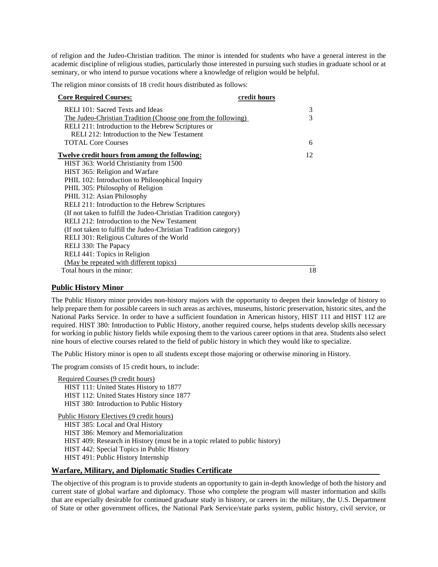of religion and the Judeo-Christian tradition. The minor is intended for students who have a general interest in the academic discipline of religious studies, particularly those interested in pursuing such studies in graduate school or at seminary, or who intend to pursue vocations where a knowledge of religion would be helpful.

The religion minor consists of 18 credit hours distributed as follows:

| <b>Core Required Courses:</b>                                    | credit hours |
|------------------------------------------------------------------|--------------|
| RELI 101: Sacred Texts and Ideas                                 | 3            |
| The Judeo-Christian Tradition (Choose one from the following)    | 3            |
| RELI 211: Introduction to the Hebrew Scriptures or               |              |
| RELI 212: Introduction to the New Testament                      |              |
| <b>TOTAL Core Courses</b>                                        | 6            |
| <u>Twelve credit hours from among the following:</u>             | 12           |
| HIST 363: World Christianity from 1500                           |              |
| HIST 365: Religion and Warfare                                   |              |
| PHIL 102: Introduction to Philosophical Inquiry                  |              |
| PHIL 305: Philosophy of Religion                                 |              |
| PHIL 312: Asian Philosophy                                       |              |
| RELI 211: Introduction to the Hebrew Scriptures                  |              |
| (If not taken to fulfill the Judeo-Christian Tradition category) |              |
| RELI 212: Introduction to the New Testament                      |              |
| (If not taken to fulfill the Judeo-Christian Tradition category) |              |
| RELI 301: Religious Cultures of the World                        |              |
| RELI 330: The Papacy                                             |              |
| RELI 441: Topics in Religion                                     |              |
| (May be repeated with different topics)                          |              |
| Total hours in the minor:                                        | 18           |

## **Public History Minor**

The Public History minor provides non-history majors with the opportunity to deepen their knowledge of history to help prepare them for possible careers in such areas as archives, museums, historic preservation, historic sites, and the National Parks Service. In order to have a sufficient foundation in American history, HIST 111 and HIST 112 are required. HIST 380: Introduction to Public History, another required course, helps students develop skills necessary for working in public history fields while exposing them to the various career options in that area. Students also select nine hours of elective courses related to the field of public history in which they would like to specialize.

The Public History minor is open to all students except those majoring or otherwise minoring in History.

The program consists of 15 credit hours, to include:

Required Courses (9 credit hours) HIST 111: United States History to 1877 HIST 112: United States History since 1877 HIST 380: Introduction to Public History

Public History Electives (9 credit hours)

HIST 385: Local and Oral History HIST 386: Memory and Memorialization HIST 409: Research in History (must be in a topic related to public history) HIST 442: Special Topics in Public History HIST 491: Public History Internship

## **Warfare, Military, and Diplomatic Studies Certificate**

The objective of this program is to provide students an opportunity to gain in-depth knowledge of both the history and current state of global warfare and diplomacy. Those who complete the program will master information and skills that are especially desirable for continued graduate study in history, or careers in: the military, the U.S. Department of State or other government offices, the National Park Service/state parks system, public history, civil service, or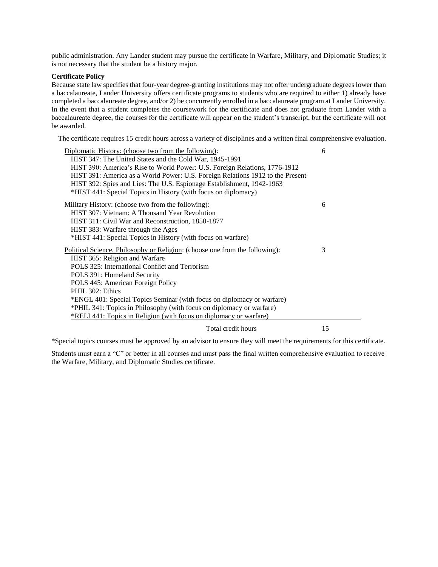public administration. Any Lander student may pursue the certificate in Warfare, Military, and Diplomatic Studies; it is not necessary that the student be a history major.

#### **Certificate Policy**

Because state law specifies that four-year degree-granting institutions may not offer undergraduate degrees lower than a baccalaureate, Lander University offers certificate programs to students who are required to either 1) already have completed a baccalaureate degree, and/or 2) be concurrently enrolled in a baccalaureate program at Lander University. In the event that a student completes the coursework for the certificate and does not graduate from Lander with a baccalaureate degree, the courses for the certificate will appear on the student's transcript, but the certificate will not be awarded.

The certificate requires 15 credit hours across a variety of disciplines and a written final comprehensive evaluation.

| Diplomatic History: (choose two from the following):                           | 6  |
|--------------------------------------------------------------------------------|----|
| HIST 347: The United States and the Cold War, 1945-1991                        |    |
| HIST 390: America's Rise to World Power: U.S. Foreign Relations, 1776-1912     |    |
| HIST 391: America as a World Power: U.S. Foreign Relations 1912 to the Present |    |
| HIST 392: Spies and Lies: The U.S. Espionage Establishment, 1942-1963          |    |
| *HIST 441: Special Topics in History (with focus on diplomacy)                 |    |
| Military History: (choose two from the following):                             | 6  |
| HIST 307: Vietnam: A Thousand Year Revolution                                  |    |
| HIST 311: Civil War and Reconstruction, 1850-1877                              |    |
| HIST 383: Warfare through the Ages                                             |    |
| *HIST 441: Special Topics in History (with focus on warfare)                   |    |
| Political Science, Philosophy or Religion: (choose one from the following):    | 3  |
| HIST 365: Religion and Warfare                                                 |    |
| POLS 325: International Conflict and Terrorism                                 |    |
| POLS 391: Homeland Security                                                    |    |
| POLS 445: American Foreign Policy                                              |    |
| PHIL 302: Ethics                                                               |    |
| *ENGL 401: Special Topics Seminar (with focus on diplomacy or warfare)         |    |
| *PHIL 341: Topics in Philosophy (with focus on diplomacy or warfare)           |    |
| *RELI 441: Topics in Religion (with focus on diplomacy or warfare)             |    |
| Total credit hours                                                             | 15 |

\*Special topics courses must be approved by an advisor to ensure they will meet the requirements for this certificate.

Students must earn a "C" or better in all courses and must pass the final written comprehensive evaluation to receive the Warfare, Military, and Diplomatic Studies certificate.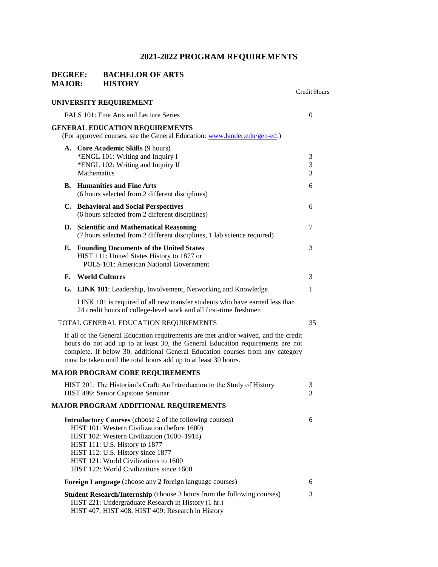## **DEGREE:** BACHELOR OF ARTS<br>MAJOR: HISTORY **MAJOR:**

|    |                                                                                                                                                                                                                                                                                                                           | Credit Hours   |
|----|---------------------------------------------------------------------------------------------------------------------------------------------------------------------------------------------------------------------------------------------------------------------------------------------------------------------------|----------------|
|    | UNIVERSITY REQUIREMENT                                                                                                                                                                                                                                                                                                    |                |
|    | FALS 101: Fine Arts and Lecture Series                                                                                                                                                                                                                                                                                    | $\overline{0}$ |
|    | <b>GENERAL EDUCATION REQUIREMENTS</b><br>(For approved courses, see the General Education: www.lander.edu/gen-ed.)                                                                                                                                                                                                        |                |
|    | A. Core Academic Skills (9 hours)<br>*ENGL 101: Writing and Inquiry I<br>*ENGL 102: Writing and Inquiry II<br><b>Mathematics</b>                                                                                                                                                                                          | 3<br>3<br>3    |
|    | <b>B.</b> Humanities and Fine Arts<br>(6 hours selected from 2 different disciplines)                                                                                                                                                                                                                                     | 6              |
|    | C. Behavioral and Social Perspectives<br>(6 hours selected from 2 different disciplines)                                                                                                                                                                                                                                  | 6              |
|    | D. Scientific and Mathematical Reasoning<br>(7 hours selected from 2 different disciplines, 1 lab science required)                                                                                                                                                                                                       | 7              |
| Е. | <b>Founding Documents of the United States</b><br>HIST 111: United States History to 1877 or<br>POLS 101: American National Government                                                                                                                                                                                    | 3              |
| F. | <b>World Cultures</b>                                                                                                                                                                                                                                                                                                     | 3              |
|    | G. LINK 101: Leadership, Involvement, Networking and Knowledge                                                                                                                                                                                                                                                            | 1              |
|    | LINK 101 is required of all new transfer students who have earned less than<br>24 credit hours of college-level work and all first-time freshmen                                                                                                                                                                          |                |
|    | TOTAL GENERAL EDUCATION REQUIREMENTS                                                                                                                                                                                                                                                                                      | 35             |
|    | If all of the General Education requirements are met and/or waived, and the credit<br>hours do not add up to at least 30, the General Education requirements are not<br>complete. If below 30, additional General Education courses from any category<br>must be taken until the total hours add up to at least 30 hours. |                |
|    | <b>MAJOR PROGRAM CORE REQUIREMENTS</b>                                                                                                                                                                                                                                                                                    |                |
|    | HIST 201: The Historian's Craft: An Introduction to the Study of History<br>HIST 499: Senior Capstone Seminar                                                                                                                                                                                                             | 3<br>3         |
|    | MAJOR PROGRAM ADDITIONAL REQUIREMENTS                                                                                                                                                                                                                                                                                     |                |
|    | <b>Introductory Courses</b> (choose 2 of the following courses)<br>HIST 101: Western Civilization (before 1600)<br>HIST 102: Western Civilization (1600-1918)<br>HIST 111: U.S. History to 1877<br>HIST 112: U.S. History since 1877<br>HIST 121: World Civilizations to 1600<br>HIST 122: World Civilizations since 1600 | 6              |
|    | Foreign Language (choose any 2 foreign language courses)                                                                                                                                                                                                                                                                  | 6              |
|    | <b>Student Research/Internship</b> (choose 3 hours from the following courses)<br>HIST 221: Undergraduate Research in History (1 hr.)<br>HIST 407, HIST 408, HIST 409: Research in History                                                                                                                                | 3              |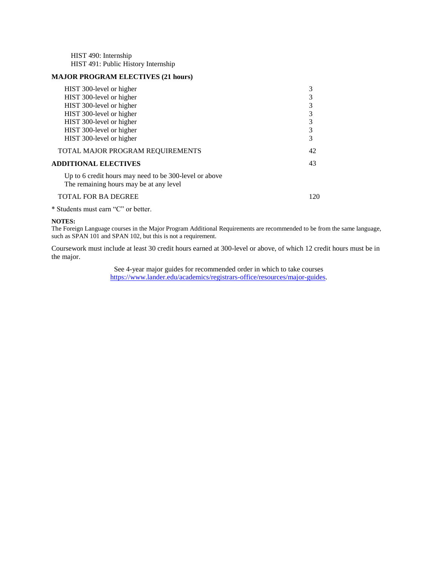HIST 490: Internship HIST 491: Public History Internship

## **MAJOR PROGRAM ELECTIVES (21 hours)**

| HIST 300-level or higher                                                                          | 3   |
|---------------------------------------------------------------------------------------------------|-----|
| HIST 300-level or higher                                                                          |     |
| HIST 300-level or higher                                                                          | 3   |
| HIST 300-level or higher                                                                          | 3   |
| HIST 300-level or higher                                                                          | 3   |
| HIST 300-level or higher                                                                          | 3   |
| HIST 300-level or higher                                                                          | 3   |
| TOTAL MAJOR PROGRAM REQUIREMENTS                                                                  | 42  |
| <b>ADDITIONAL ELECTIVES</b>                                                                       | 43  |
| Up to 6 credit hours may need to be 300-level or above<br>The remaining hours may be at any level |     |
| <b>TOTAL FOR BA DEGREE</b>                                                                        | 120 |
|                                                                                                   |     |

\* Students must earn "C" or better.

## **NOTES:**

The Foreign Language courses in the Major Program Additional Requirements are recommended to be from the same language, such as SPAN 101 and SPAN 102, but this is not a requirement.

Coursework must include at least 30 credit hours earned at 300-level or above, of which 12 credit hours must be in the major.

> See 4-year major guides for recommended order in which to take courses [https://www.lander.edu/academics/registrars-office/resources/major-guides.](https://www.lander.edu/academics/registrars-office/resources/major-guides)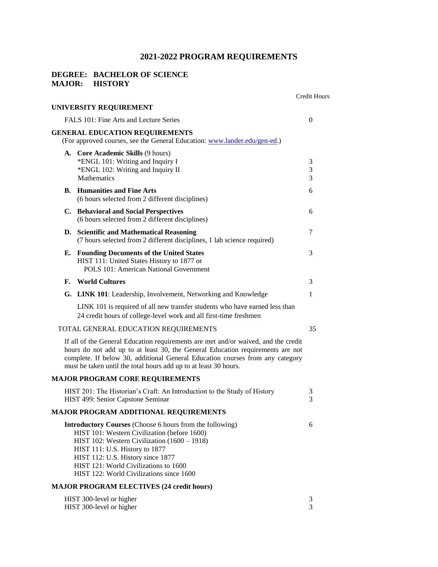## **DEGREE: BACHELOR OF SCIENCE MAJOR: HISTORY**

|                                                      |                                                                                                                                                                                                                                                                                                                             | Credit Hours |  |
|------------------------------------------------------|-----------------------------------------------------------------------------------------------------------------------------------------------------------------------------------------------------------------------------------------------------------------------------------------------------------------------------|--------------|--|
|                                                      | UNIVERSITY REQUIREMENT                                                                                                                                                                                                                                                                                                      |              |  |
| FALS 101: Fine Arts and Lecture Series               |                                                                                                                                                                                                                                                                                                                             |              |  |
|                                                      | <b>GENERAL EDUCATION REQUIREMENTS</b><br>(For approved courses, see the General Education: www.lander.edu/gen-ed.)                                                                                                                                                                                                          |              |  |
|                                                      | A. Core Academic Skills (9 hours)<br>*ENGL 101: Writing and Inquiry I<br>*ENGL 102: Writing and Inquiry II<br>Mathematics                                                                                                                                                                                                   | 3<br>3<br>3  |  |
|                                                      | <b>B.</b> Humanities and Fine Arts<br>(6 hours selected from 2 different disciplines)                                                                                                                                                                                                                                       | 6            |  |
|                                                      | C. Behavioral and Social Perspectives<br>(6 hours selected from 2 different disciplines)                                                                                                                                                                                                                                    | 6            |  |
|                                                      | D. Scientific and Mathematical Reasoning<br>(7 hours selected from 2 different disciplines, 1 lab science required)                                                                                                                                                                                                         | 7            |  |
|                                                      | <b>E.</b> Founding Documents of the United States<br>HIST 111: United States History to 1877 or<br>POLS 101: American National Government                                                                                                                                                                                   | 3            |  |
| F.                                                   | <b>World Cultures</b>                                                                                                                                                                                                                                                                                                       | 3            |  |
|                                                      | G. LINK 101: Leadership, Involvement, Networking and Knowledge                                                                                                                                                                                                                                                              | 1            |  |
|                                                      | LINK 101 is required of all new transfer students who have earned less than<br>24 credit hours of college-level work and all first-time freshmen                                                                                                                                                                            |              |  |
|                                                      | TOTAL GENERAL EDUCATION REQUIREMENTS                                                                                                                                                                                                                                                                                        | 35           |  |
|                                                      | If all of the General Education requirements are met and/or waived, and the credit<br>hours do not add up to at least 30, the General Education requirements are not<br>complete. If below 30, additional General Education courses from any category<br>must be taken until the total hours add up to at least 30 hours.   |              |  |
|                                                      | <b>MAJOR PROGRAM CORE REQUIREMENTS</b>                                                                                                                                                                                                                                                                                      |              |  |
|                                                      | HIST 201: The Historian's Craft: An Introduction to the Study of History<br>HIST 499: Senior Capstone Seminar                                                                                                                                                                                                               | 3<br>3       |  |
|                                                      | <b>MAJOR PROGRAM ADDITIONAL REQUIREMENTS</b>                                                                                                                                                                                                                                                                                |              |  |
|                                                      | <b>Introductory Courses</b> (Choose 6 hours from the following)<br>HIST 101: Western Civilization (before 1600)<br>HIST 102: Western Civilization (1600 – 1918)<br>HIST 111: U.S. History to 1877<br>HIST 112: U.S. History since 1877<br>HIST 121: World Civilizations to 1600<br>HIST 122: World Civilizations since 1600 | 6            |  |
|                                                      | <b>MAJOR PROGRAM ELECTIVES (24 credit hours)</b>                                                                                                                                                                                                                                                                            |              |  |
| HIST 300-level or higher<br>HIST 300-level or higher |                                                                                                                                                                                                                                                                                                                             |              |  |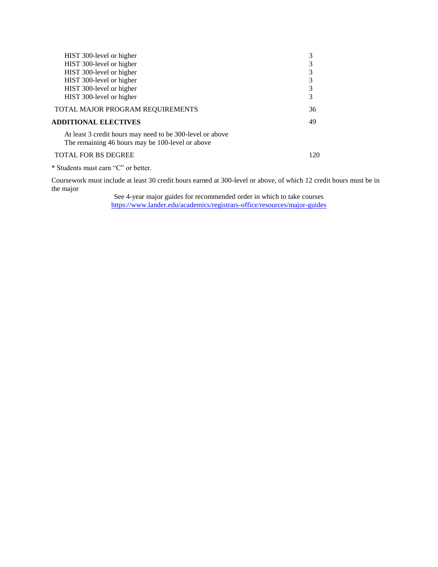| HIST 300-level or higher                                                                                      | 3   |
|---------------------------------------------------------------------------------------------------------------|-----|
| HIST 300-level or higher                                                                                      | 3   |
| HIST 300-level or higher                                                                                      | 3   |
| HIST 300-level or higher                                                                                      | 3   |
| HIST 300-level or higher                                                                                      | 3   |
| HIST 300-level or higher                                                                                      | 3   |
| TOTAL MAJOR PROGRAM REQUIREMENTS                                                                              | 36  |
| <b>ADDITIONAL ELECTIVES</b>                                                                                   | 49  |
| At least 3 credit hours may need to be 300-level or above<br>The remaining 46 hours may be 100-level or above |     |
| <b>TOTAL FOR BS DEGREE</b>                                                                                    | 120 |

\* Students must earn "C" or better.

Coursework must include at least 30 credit hours earned at 300-level or above, of which 12 credit hours must be in the major

> See 4-year major guides for recommended order in which to take courses <https://www.lander.edu/academics/registrars-office/resources/major-guides>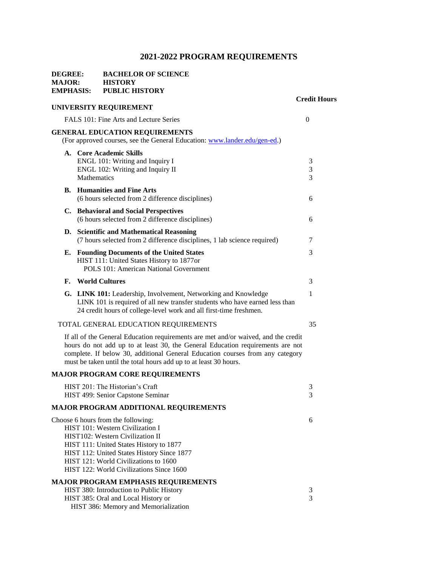## **DEGREE: BACHELOR OF SCIENCE MAJOR: HISTORY EMPHASIS: PUBLIC HISTORY**

## **Credit Hours UNIVERSITY REQUIREMENT**  FALS 101: Fine Arts and Lecture Series 0 **GENERAL EDUCATION REQUIREMENTS** (For approved courses, see the General Education: [www.lander.edu/gen-ed.\)](http://www.lander.edu/gen-ed) **A. Core Academic Skills**  ENGL 101: Writing and Inquiry I 3 ENGL 102: Writing and Inquiry II 3 Mathematics 3 **B. Humanities and Fine Arts** (6 hours selected from 2 difference disciplines) 6 **C. Behavioral and Social Perspectives**  (6 hours selected from 2 difference disciplines) 6 **D. Scientific and Mathematical Reasoning** (7 hours selected from 2 difference disciplines, 1 lab science required) 7 **E. Founding Documents of the United States** 3 HIST 111: United States History to 1877or POLS 101: American National Government **F. World Cultures** 3 **G.** LINK 101: Leadership, Involvement, Networking and Knowledge 1 LINK 101 is required of all new transfer students who have earned less than 24 credit hours of college-level work and all first-time freshmen. TOTAL GENERAL EDUCATION REQUIREMENTS 35

If all of the General Education requirements are met and/or waived, and the credit hours do not add up to at least 30, the General Education requirements are not complete. If below 30, additional General Education courses from any category must be taken until the total hours add up to at least 30 hours.

#### **MAJOR PROGRAM CORE REQUIREMENTS**

| HIST 201: The Historian's Craft            | 3 |
|--------------------------------------------|---|
| HIST 499: Senior Capstone Seminar          | 3 |
| MAJOR PROGRAM ADDITIONAL REQUIREMENTS      |   |
| Choose 6 hours from the following:         | 6 |
| HIST 101: Western Civilization I           |   |
| HIST102: Western Civilization II           |   |
| HIST 111: United States History to 1877    |   |
| HIST 112: United States History Since 1877 |   |
| HIST 121: World Civilizations to 1600      |   |
| HIST 122: World Civilizations Since 1600   |   |
| <b>MAJOR PROGRAM EMPHASIS REQUIREMENTS</b> |   |
| HIST 380: Introduction to Public History   | 3 |
| HIST 385: Oral and Local History or        | 3 |
| HIST 386: Memory and Memorialization       |   |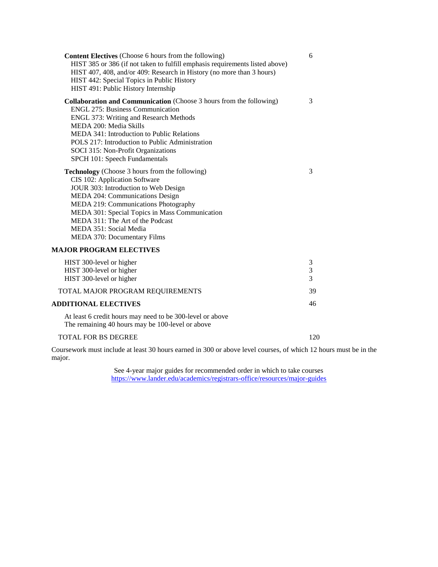| <b>Content Electives</b> (Choose 6 hours from the following)<br>HIST 385 or 386 (if not taken to fulfill emphasis requirements listed above)<br>HIST 407, 408, and/or 409: Research in History (no more than 3 hours)<br>HIST 442: Special Topics in Public History<br>HIST 491: Public History Internship                                                        | 6           |
|-------------------------------------------------------------------------------------------------------------------------------------------------------------------------------------------------------------------------------------------------------------------------------------------------------------------------------------------------------------------|-------------|
| Collaboration and Communication (Choose 3 hours from the following)<br><b>ENGL 275: Business Communication</b><br><b>ENGL 373: Writing and Research Methods</b><br>MEDA 200: Media Skills<br>MEDA 341: Introduction to Public Relations<br>POLS 217: Introduction to Public Administration<br>SOCI 315: Non-Profit Organizations<br>SPCH 101: Speech Fundamentals | 3           |
| <b>Technology</b> (Choose 3 hours from the following)<br>CIS 102: Application Software<br>JOUR 303: Introduction to Web Design<br>MEDA 204: Communications Design<br>MEDA 219: Communications Photography<br>MEDA 301: Special Topics in Mass Communication<br>MEDA 311: The Art of the Podcast<br>MEDA 351: Social Media<br>MEDA 370: Documentary Films          | 3           |
| <b>MAJOR PROGRAM ELECTIVES</b>                                                                                                                                                                                                                                                                                                                                    |             |
| HIST 300-level or higher<br>HIST 300-level or higher<br>HIST 300-level or higher                                                                                                                                                                                                                                                                                  | 3<br>3<br>3 |
| TOTAL MAJOR PROGRAM REQUIREMENTS                                                                                                                                                                                                                                                                                                                                  | 39          |
| <b>ADDITIONAL ELECTIVES</b>                                                                                                                                                                                                                                                                                                                                       | 46          |
| At least 6 credit hours may need to be 300-level or above<br>The remaining 40 hours may be 100-level or above                                                                                                                                                                                                                                                     |             |
| <b>TOTAL FOR BS DEGREE</b>                                                                                                                                                                                                                                                                                                                                        | 120         |

Coursework must include at least 30 hours earned in 300 or above level courses, of which 12 hours must be in the major.

> See 4-year major guides for recommended order in which to take courses <https://www.lander.edu/academics/registrars-office/resources/major-guides>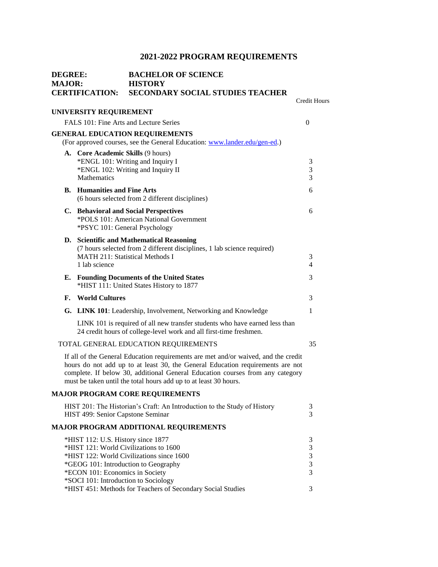| <b>DEGREE:</b><br><b>MAJOR:</b><br><b>CERTIFICATION:</b> |                                                                                                               | <b>BACHELOR OF SCIENCE</b><br><b>HISTORY</b><br><b>SECONDARY SOCIAL STUDIES TEACHER</b>                                                                                                                                                                                                                                   |                                                                  |
|----------------------------------------------------------|---------------------------------------------------------------------------------------------------------------|---------------------------------------------------------------------------------------------------------------------------------------------------------------------------------------------------------------------------------------------------------------------------------------------------------------------------|------------------------------------------------------------------|
|                                                          |                                                                                                               |                                                                                                                                                                                                                                                                                                                           | <b>Credit Hours</b>                                              |
|                                                          | UNIVERSITY REQUIREMENT                                                                                        |                                                                                                                                                                                                                                                                                                                           |                                                                  |
|                                                          |                                                                                                               | FALS 101: Fine Arts and Lecture Series                                                                                                                                                                                                                                                                                    | $\theta$                                                         |
|                                                          |                                                                                                               | <b>GENERAL EDUCATION REQUIREMENTS</b>                                                                                                                                                                                                                                                                                     |                                                                  |
|                                                          |                                                                                                               | (For approved courses, see the General Education: www.lander.edu/gen-ed.)                                                                                                                                                                                                                                                 |                                                                  |
|                                                          | A. Core Academic Skills (9 hours)<br>Mathematics                                                              | *ENGL 101: Writing and Inquiry I<br>*ENGL 102: Writing and Inquiry II                                                                                                                                                                                                                                                     | 3<br>3<br>3                                                      |
|                                                          | <b>B.</b> Humanities and Fine Arts                                                                            | (6 hours selected from 2 different disciplines)                                                                                                                                                                                                                                                                           | 6                                                                |
|                                                          |                                                                                                               | C. Behavioral and Social Perspectives<br>*POLS 101: American National Government<br>*PSYC 101: General Psychology                                                                                                                                                                                                         | 6                                                                |
|                                                          | 1 lab science                                                                                                 | D. Scientific and Mathematical Reasoning<br>(7 hours selected from 2 different disciplines, 1 lab science required)<br><b>MATH 211: Statistical Methods I</b>                                                                                                                                                             | 3<br>$\overline{4}$                                              |
|                                                          |                                                                                                               | E. Founding Documents of the United States<br>*HIST 111: United States History to 1877                                                                                                                                                                                                                                    | 3                                                                |
| F.                                                       | <b>World Cultures</b>                                                                                         |                                                                                                                                                                                                                                                                                                                           | 3                                                                |
|                                                          |                                                                                                               | G. LINK 101: Leadership, Involvement, Networking and Knowledge                                                                                                                                                                                                                                                            | 1                                                                |
|                                                          |                                                                                                               | LINK 101 is required of all new transfer students who have earned less than<br>24 credit hours of college-level work and all first-time freshmen.                                                                                                                                                                         |                                                                  |
|                                                          |                                                                                                               | TOTAL GENERAL EDUCATION REQUIREMENTS                                                                                                                                                                                                                                                                                      | 35                                                               |
|                                                          |                                                                                                               | If all of the General Education requirements are met and/or waived, and the credit<br>hours do not add up to at least 30, the General Education requirements are not<br>complete. If below 30, additional General Education courses from any category<br>must be taken until the total hours add up to at least 30 hours. |                                                                  |
|                                                          |                                                                                                               | <b>MAJOR PROGRAM CORE REQUIREMENTS</b>                                                                                                                                                                                                                                                                                    |                                                                  |
|                                                          | HIST 499: Senior Capstone Seminar                                                                             | HIST 201: The Historian's Craft: An Introduction to the Study of History                                                                                                                                                                                                                                                  | 3<br>3                                                           |
|                                                          |                                                                                                               | <b>MAJOR PROGRAM ADDITIONAL REQUIREMENTS</b>                                                                                                                                                                                                                                                                              |                                                                  |
|                                                          | *HIST 112: U.S. History since 1877<br>*ECON 101: Economics in Society<br>*SOCI 101: Introduction to Sociology | *HIST 121: World Civilizations to 1600<br>*HIST 122: World Civilizations since 1600<br>*GEOG 101: Introduction to Geography<br>*HIST 451: Methods for Teachers of Secondary Social Studies                                                                                                                                | 3<br>$\mathfrak{Z}$<br>$\mathfrak 3$<br>$\mathfrak{Z}$<br>3<br>3 |
|                                                          |                                                                                                               |                                                                                                                                                                                                                                                                                                                           |                                                                  |